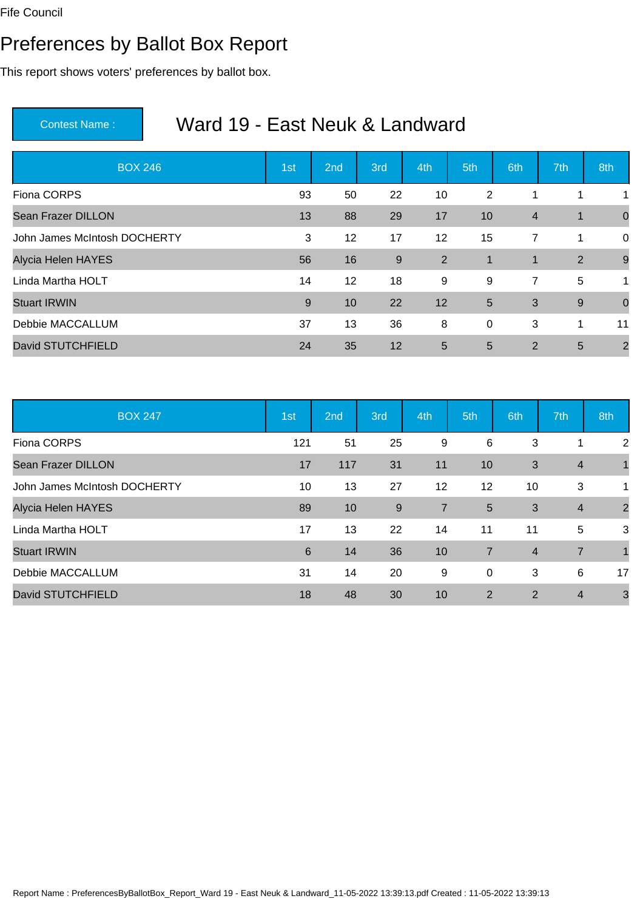### Preferences by Ballot Box Report

This report shows voters' preferences by ballot box.

| <b>BOX 246</b>               | 1st | 2 <sub>nd</sub> | 3rd | 4th | 5th         | 6th            | 7th         | 8th            |
|------------------------------|-----|-----------------|-----|-----|-------------|----------------|-------------|----------------|
| Fiona CORPS                  | 93  | 50              | 22  | 10  | 2           | 1              | 1           | 1              |
| <b>Sean Frazer DILLON</b>    | 13  | 88              | 29  | 17  | 10          | $\overline{4}$ | $\mathbf 1$ | $\Omega$       |
| John James McIntosh DOCHERTY | 3   | 12              | 17  | 12  | 15          | 7              | 1           | 0              |
| Alycia Helen HAYES           | 56  | 16              | 9   | 2   | $\mathbf 1$ | 1              | 2           | 9              |
| Linda Martha HOLT            | 14  | 12              | 18  | 9   | 9           | 7              | 5           | $\mathbf 1$    |
| <b>Stuart IRWIN</b>          | 9   | 10              | 22  | 12  | 5           | 3              | 9           | $\overline{0}$ |
| Debbie MACCALLUM             | 37  | 13              | 36  | 8   | $\mathbf 0$ | 3              | 1           | 11             |
| <b>David STUTCHFIELD</b>     | 24  | 35              | 12  | 5   | 5           | 2              | 5           | $\overline{2}$ |

| <b>BOX 247</b>               | 1st | 2nd | 3rd | 4th            | 5th            | 6th            | 7th            | 8th            |
|------------------------------|-----|-----|-----|----------------|----------------|----------------|----------------|----------------|
| Fiona CORPS                  | 121 | 51  | 25  | 9              | 6              | 3              |                | 2              |
| Sean Frazer DILLON           | 17  | 117 | 31  | 11             | 10             | 3              | $\overline{4}$ |                |
| John James McIntosh DOCHERTY | 10  | 13  | 27  | 12             | 12             | 10             | 3              | 1              |
| Alycia Helen HAYES           | 89  | 10  | 9   | $\overline{7}$ | $5\phantom{1}$ | 3              | $\overline{4}$ | $\overline{2}$ |
| Linda Martha HOLT            | 17  | 13  | 22  | 14             | 11             | 11             | 5              | 3              |
| <b>Stuart IRWIN</b>          | 6   | 14  | 36  | 10             | $\overline{7}$ | $\overline{4}$ | $\overline{7}$ | $\overline{1}$ |
| Debbie MACCALLUM             | 31  | 14  | 20  | 9              | $\mathbf 0$    | 3              | 6              | 17             |
| David STUTCHFIELD            | 18  | 48  | 30  | 10             | 2              | 2              | $\overline{4}$ | 3              |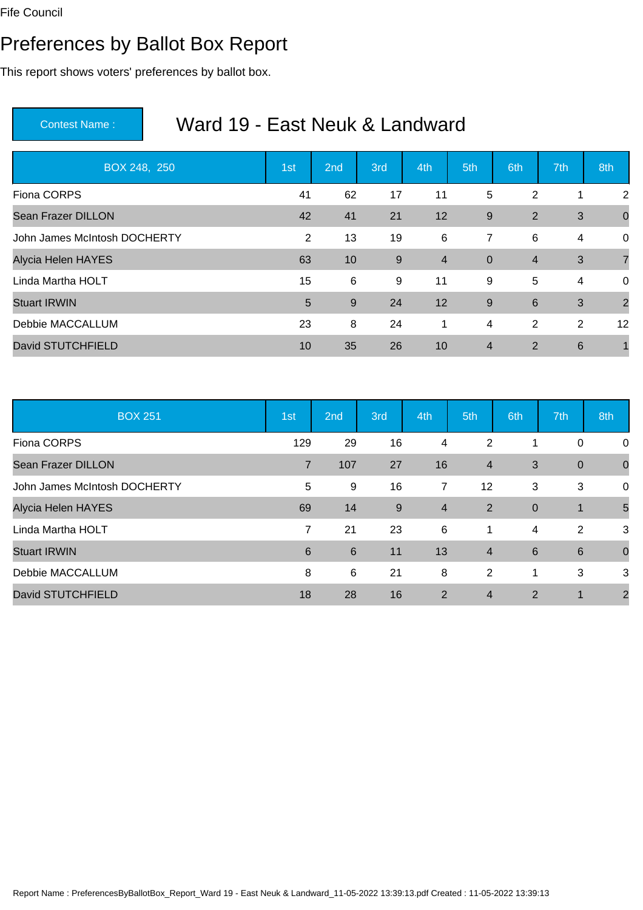### Preferences by Ballot Box Report

This report shows voters' preferences by ballot box.

| BOX 248, 250                 | 1st | 2nd | 3rd | 4th | 5th            | 6th            | 7th | 8th            |
|------------------------------|-----|-----|-----|-----|----------------|----------------|-----|----------------|
| Fiona CORPS                  | 41  | 62  | 17  | 11  | 5              | 2              | 1   | 2              |
| Sean Frazer DILLON           | 42  | 41  | 21  | 12  | 9              | 2              | 3   | $\Omega$       |
| John James McIntosh DOCHERTY | 2   | 13  | 19  | 6   | $\overline{7}$ | 6              | 4   | 0              |
| Alycia Helen HAYES           | 63  | 10  | 9   | 4   | $\theta$       | $\overline{4}$ | 3   | $\overline{7}$ |
| Linda Martha HOLT            | 15  | 6   | 9   | 11  | 9              | 5              | 4   | $\mathbf 0$    |
| <b>Stuart IRWIN</b>          | 5   | 9   | 24  | 12  | 9              | 6              | 3   | $\overline{2}$ |
| Debbie MACCALLUM             | 23  | 8   | 24  | 1   | 4              | $\overline{2}$ | 2   | 12             |
| <b>David STUTCHFIELD</b>     | 10  | 35  | 26  | 10  | $\overline{4}$ | $\overline{2}$ | 6   |                |

| <b>BOX 251</b>               | 1st            | 2nd | 3rd | 4th            | 5th             | 6th            | 7th            | 8th            |
|------------------------------|----------------|-----|-----|----------------|-----------------|----------------|----------------|----------------|
| Fiona CORPS                  | 129            | 29  | 16  | 4              | $\overline{2}$  |                | 0              | 0              |
| Sean Frazer DILLON           | $\overline{7}$ | 107 | 27  | 16             | $\overline{4}$  | 3              | $\mathbf 0$    | $\mathbf 0$    |
| John James McIntosh DOCHERTY | 5              | 9   | 16  | $\overline{7}$ | 12 <sup>°</sup> | 3              | 3              | 0              |
| Alycia Helen HAYES           | 69             | 14  | 9   | $\overline{4}$ | 2               | $\mathbf 0$    | $\overline{1}$ | 5              |
| Linda Martha HOLT            | 7              | 21  | 23  | 6              | 1               | 4              | 2              | 3              |
| <b>Stuart IRWIN</b>          | 6              | 6   | 11  | 13             | $\overline{4}$  | 6              | 6              | $\overline{0}$ |
| Debbie MACCALLUM             | 8              | 6   | 21  | 8              | 2               | 1              | 3              | 3              |
| <b>David STUTCHFIELD</b>     | 18             | 28  | 16  | 2              | $\overline{4}$  | $\overline{2}$ |                | $\overline{2}$ |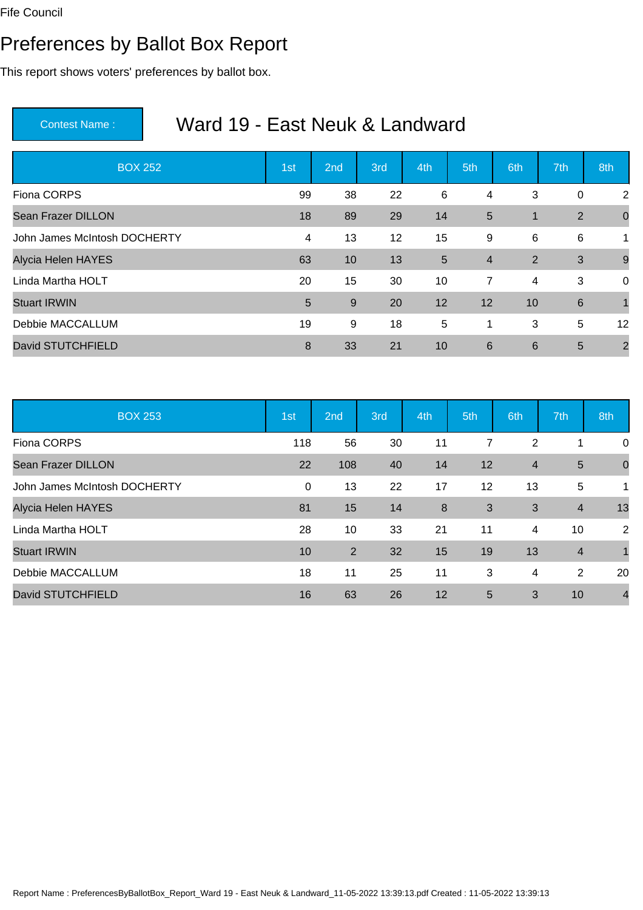### Preferences by Ballot Box Report

This report shows voters' preferences by ballot box.

| <b>BOX 252</b>               | 1st             | 2nd   | 3rd | 4th   | 5th            | 6th            | 7th             | 8th            |
|------------------------------|-----------------|-------|-----|-------|----------------|----------------|-----------------|----------------|
| Fiona CORPS                  | 99              | 38    | 22  | $\,6$ | $\overline{4}$ | 3              | 0               | 2              |
| <b>Sean Frazer DILLON</b>    | 18              | 89    | 29  | 14    | $5\phantom{1}$ | $\blacksquare$ | 2               | $\overline{0}$ |
| John James McIntosh DOCHERTY | 4               | 13    | 12  | 15    | 9              | 6              | 6               | 1              |
| Alycia Helen HAYES           | 63              | 10    | 13  | 5     | $\overline{4}$ | 2              | 3               | $\overline{9}$ |
| Linda Martha HOLT            | 20              | 15    | 30  | 10    | $\overline{7}$ | 4              | 3               | 0              |
| <b>Stuart IRWIN</b>          | $5\overline{5}$ | $9\,$ | 20  | 12    | 12             | 10             | $6\phantom{1}6$ |                |
| Debbie MACCALLUM             | 19              | 9     | 18  | 5     | 1              | 3              | 5               | 12             |
| David STUTCHFIELD            | 8               | 33    | 21  | 10    | 6              | 6              | 5               | $\overline{2}$ |

| <b>BOX 253</b>               | 1st | 2nd            | 3rd | 4th | 5th | 6th            | 7th            | 8th            |
|------------------------------|-----|----------------|-----|-----|-----|----------------|----------------|----------------|
| Fiona CORPS                  | 118 | 56             | 30  | 11  | 7   | 2              | 1              | 0              |
| Sean Frazer DILLON           | 22  | 108            | 40  | 14  | 12  | $\overline{4}$ | $\overline{5}$ | $\overline{0}$ |
| John James McIntosh DOCHERTY | 0   | 13             | 22  | 17  | 12  | 13             | 5              | 1              |
| Alycia Helen HAYES           | 81  | 15             | 14  | 8   | 3   | 3              | $\overline{4}$ | 13             |
| Linda Martha HOLT            | 28  | 10             | 33  | 21  | 11  | 4              | 10             | 2              |
| <b>Stuart IRWIN</b>          | 10  | $\overline{2}$ | 32  | 15  | 19  | 13             | $\overline{4}$ |                |
| Debbie MACCALLUM             | 18  | 11             | 25  | 11  | 3   | 4              | 2              | 20             |
| David STUTCHFIELD            | 16  | 63             | 26  | 12  | 5   | 3              | 10             | $\overline{4}$ |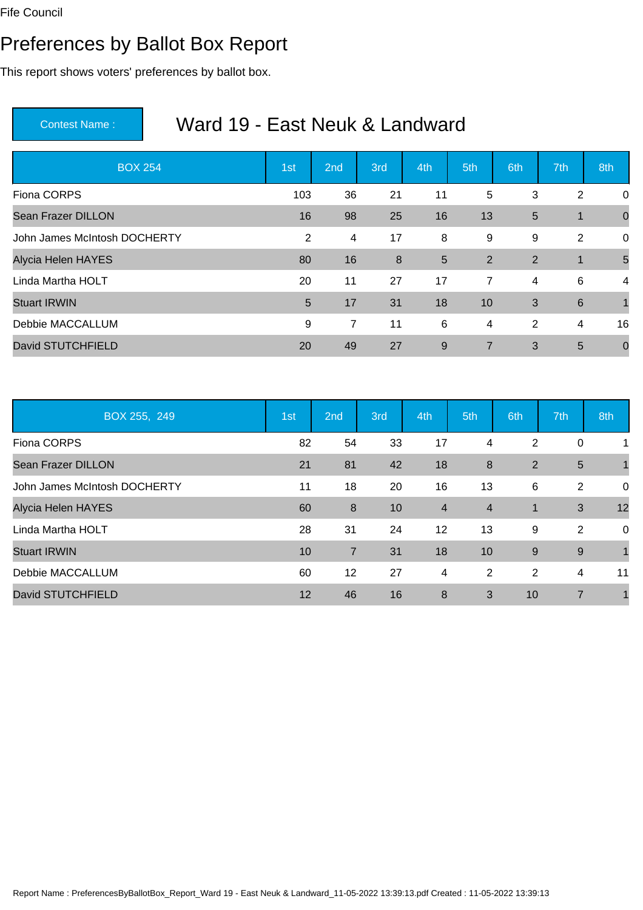### Preferences by Ballot Box Report

This report shows voters' preferences by ballot box.

| <b>BOX 254</b>               | 1st            | 2 <sub>nd</sub> | 3rd | 4th | 5th            | 6th | 7th            | 8th            |
|------------------------------|----------------|-----------------|-----|-----|----------------|-----|----------------|----------------|
| Fiona CORPS                  | 103            | 36              | 21  | 11  | 5              | 3   | 2              | $\mathbf 0$    |
| Sean Frazer DILLON           | 16             | 98              | 25  | 16  | 13             | 5   | $\mathbf 1$    | $\overline{0}$ |
| John James McIntosh DOCHERTY | 2              | 4               | 17  | 8   | 9              | 9   | $\overline{2}$ | $\overline{0}$ |
| Alycia Helen HAYES           | 80             | 16              | 8   | 5   | 2              | 2   | 1              | 5              |
| Linda Martha HOLT            | 20             | 11              | 27  | 17  | $\overline{7}$ | 4   | 6              | $\overline{4}$ |
| <b>Stuart IRWIN</b>          | $5\phantom{1}$ | 17              | 31  | 18  | 10             | 3   | 6              |                |
| Debbie MACCALLUM             | 9              | 7               | 11  | 6   | $\overline{4}$ | 2   | 4              | 16             |
| David STUTCHFIELD            | 20             | 49              | 27  | 9   | $\overline{7}$ | 3   | 5              | $\overline{0}$ |

| BOX 255, 249                 | 1st | 2nd            | 3rd | 4th | 5th            | 6th            | 7th            | 8th            |
|------------------------------|-----|----------------|-----|-----|----------------|----------------|----------------|----------------|
| Fiona CORPS                  | 82  | 54             | 33  | 17  | 4              | 2              | 0              | 1              |
| <b>Sean Frazer DILLON</b>    | 21  | 81             | 42  | 18  | 8              | $\overline{2}$ | 5              |                |
| John James McIntosh DOCHERTY | 11  | 18             | 20  | 16  | 13             | 6              | 2              | 0              |
| Alycia Helen HAYES           | 60  | 8              | 10  | 4   | $\overline{4}$ | $\mathbf 1$    | 3              | 12             |
| Linda Martha HOLT            | 28  | 31             | 24  | 12  | 13             | 9              | 2              | 0              |
| <b>Stuart IRWIN</b>          | 10  | $\overline{7}$ | 31  | 18  | 10             | 9              | 9              | $\overline{1}$ |
| Debbie MACCALLUM             | 60  | 12             | 27  | 4   | $\overline{2}$ | 2              | 4              | 11             |
| <b>David STUTCHFIELD</b>     | 12  | 46             | 16  | 8   | 3              | 10             | $\overline{7}$ |                |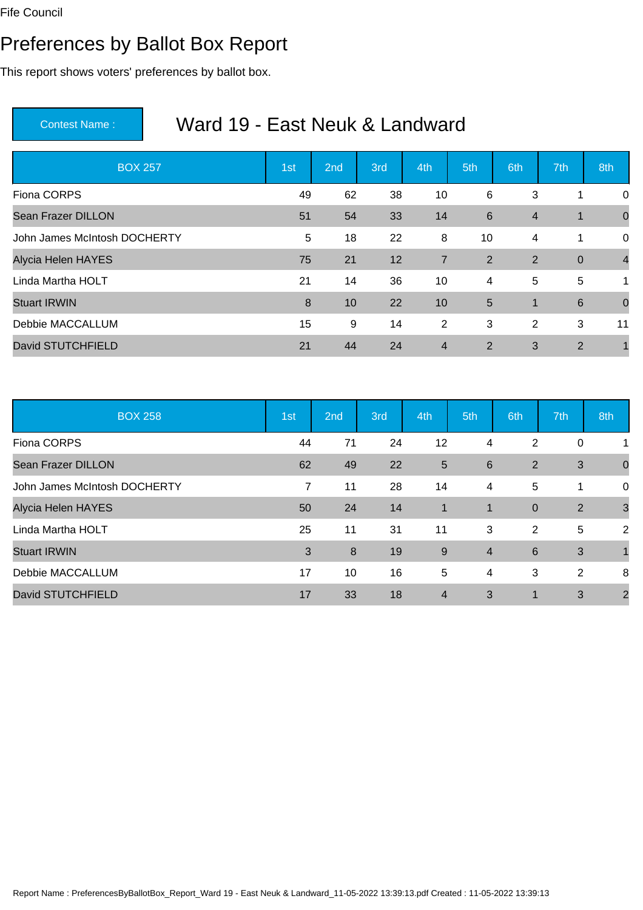### Preferences by Ballot Box Report

This report shows voters' preferences by ballot box.

| <b>BOX 257</b>               | 1st | 2 <sub>nd</sub> | 3rd | 4th            | 5th            | 6th                  | 7th            | 8th            |
|------------------------------|-----|-----------------|-----|----------------|----------------|----------------------|----------------|----------------|
| Fiona CORPS                  | 49  | 62              | 38  | 10             | 6              | 3                    | 1              | $\mathbf 0$    |
| <b>Sean Frazer DILLON</b>    | 51  | 54              | 33  | 14             | 6              | $\overline{4}$       | $\mathbf 1$    | $\overline{0}$ |
| John James McIntosh DOCHERTY | 5   | 18              | 22  | 8              | 10             | 4                    | 1              | $\overline{0}$ |
| Alycia Helen HAYES           | 75  | 21              | 12  | $\overline{7}$ | 2              | 2                    | $\overline{0}$ | $\overline{4}$ |
| Linda Martha HOLT            | 21  | 14              | 36  | 10             | $\overline{4}$ | 5                    | 5              | 1              |
| <b>Stuart IRWIN</b>          | 8   | 10              | 22  | 10             | 5              | $\blacktriangleleft$ | 6              | $\overline{0}$ |
| Debbie MACCALLUM             | 15  | 9               | 14  | 2              | 3              | 2                    | 3              | 11             |
| <b>David STUTCHFIELD</b>     | 21  | 44              | 24  | $\overline{4}$ | 2              | 3                    | 2              |                |

| <b>BOX 258</b>               | 1st | 2nd | 3rd | 4th            | 5th             | 6th            | 7th          | 8th            |
|------------------------------|-----|-----|-----|----------------|-----------------|----------------|--------------|----------------|
| Fiona CORPS                  | 44  | 71  | 24  | 12             | 4               | $\overline{2}$ | 0            |                |
| Sean Frazer DILLON           | 62  | 49  | 22  | 5              | $6\phantom{1}6$ | $\overline{2}$ | $\mathbf{3}$ | $\overline{0}$ |
| John James McIntosh DOCHERTY | 7   | 11  | 28  | 14             | 4               | 5              | 1            | $\mathbf 0$    |
| Alycia Helen HAYES           | 50  | 24  | 14  | $\mathbf{1}$   | $\mathbf 1$     | $\overline{0}$ | 2            | $\mathbf{3}$   |
| Linda Martha HOLT            | 25  | 11  | 31  | 11             | 3               | 2              | 5            | 2              |
| <b>Stuart IRWIN</b>          | 3   | 8   | 19  | 9              | $\overline{4}$  | 6              | 3            |                |
| Debbie MACCALLUM             | 17  | 10  | 16  | 5              | 4               | 3              | 2            | 8              |
| David STUTCHFIELD            | 17  | 33  | 18  | $\overline{4}$ | 3               | 1              | 3            | $\overline{2}$ |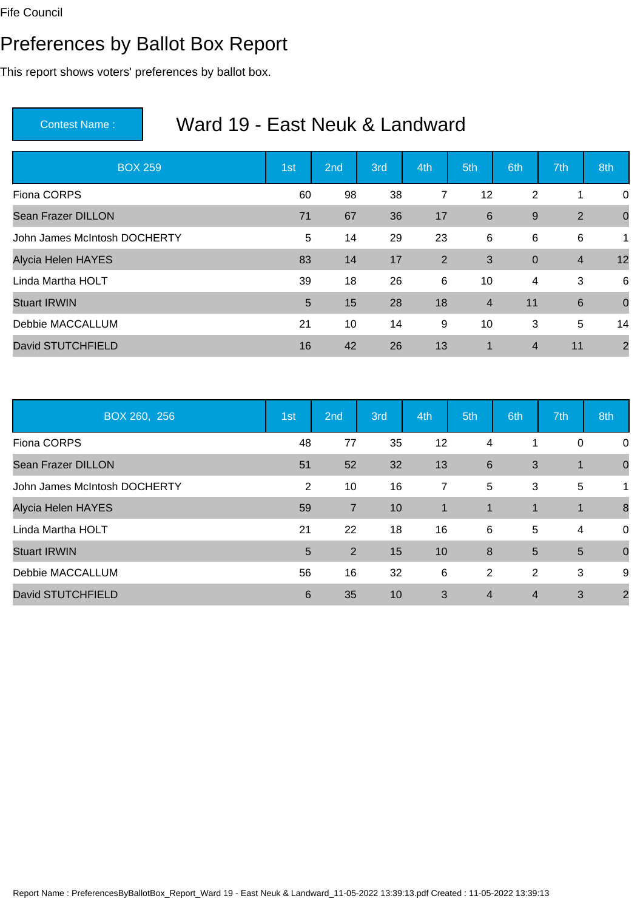### Preferences by Ballot Box Report

This report shows voters' preferences by ballot box.

| <b>BOX 259</b>               | 1st | 2nd | 3rd | 4th            | 5th            | 6th         | 7th             | 8th            |
|------------------------------|-----|-----|-----|----------------|----------------|-------------|-----------------|----------------|
| Fiona CORPS                  | 60  | 98  | 38  | 7              | 12             | 2           | 1               | $\mathbf 0$    |
| <b>Sean Frazer DILLON</b>    | 71  | 67  | 36  | 17             | 6              | 9           | $\overline{2}$  | $\overline{0}$ |
| John James McIntosh DOCHERTY | 5   | 14  | 29  | 23             | 6              | 6           | 6               | $\mathbf 1$    |
| Alycia Helen HAYES           | 83  | 14  | 17  | $\overline{2}$ | 3              | $\mathbf 0$ | $\overline{4}$  | 12             |
| Linda Martha HOLT            | 39  | 18  | 26  | 6              | 10             | 4           | 3               | 6              |
| <b>Stuart IRWIN</b>          | 5   | 15  | 28  | 18             | $\overline{4}$ | 11          | $6\phantom{1}6$ | $\overline{0}$ |
| Debbie MACCALLUM             | 21  | 10  | 14  | 9              | 10             | 3           | 5               | 14             |
| <b>David STUTCHFIELD</b>     | 16  | 42  | 26  | 13             | $\mathbf 1$    | 4           | 11              | $\overline{2}$ |

| BOX 260, 256                 | 1st             | 2nd            | 3rd | 4th          | 5th             | 6th            | 7th         | 8th            |
|------------------------------|-----------------|----------------|-----|--------------|-----------------|----------------|-------------|----------------|
| Fiona CORPS                  | 48              | 77             | 35  | 12           | 4               |                | 0           | 0              |
| Sean Frazer DILLON           | 51              | 52             | 32  | 13           | 6               | 3              | $\mathbf 1$ | $\mathbf 0$    |
| John James McIntosh DOCHERTY | 2               | 10             | 16  | 7            | 5               | 3              | 5           | 1              |
| Alycia Helen HAYES           | 59              | $\overline{7}$ | 10  | $\mathbf{1}$ | $\mathbf{1}$    | 1              | 1           | 8              |
| Linda Martha HOLT            | 21              | 22             | 18  | 16           | $6\phantom{.}6$ | 5              | 4           | $\mathbf 0$    |
| <b>Stuart IRWIN</b>          | $5\overline{)}$ | $\overline{2}$ | 15  | 10           | 8               | 5              | 5           | $\overline{0}$ |
| Debbie MACCALLUM             | 56              | 16             | 32  | $\,6$        | 2               | $\overline{2}$ | 3           | 9              |
| <b>David STUTCHFIELD</b>     | 6               | 35             | 10  | 3            | $\overline{4}$  | 4              | 3           | $\overline{2}$ |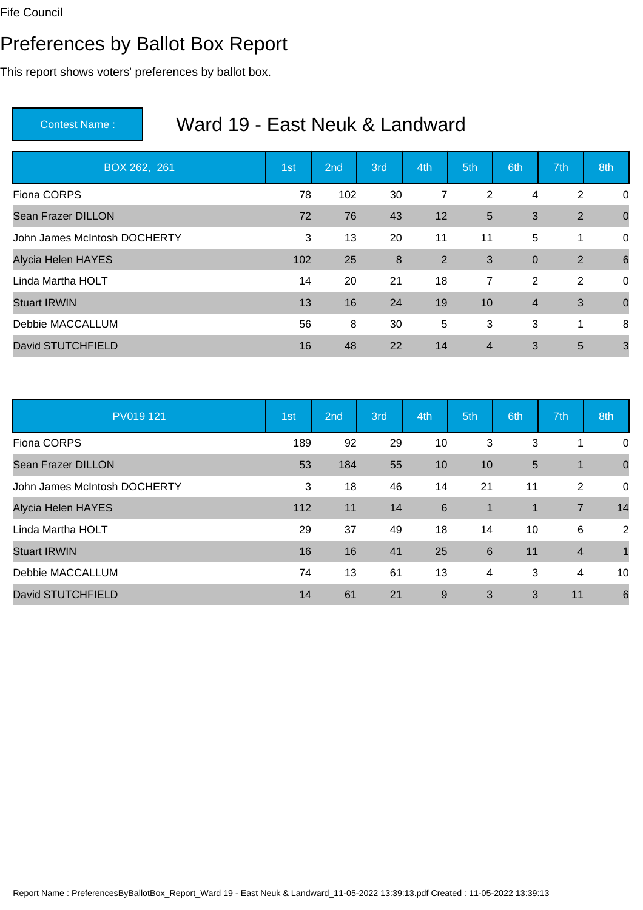### Preferences by Ballot Box Report

This report shows voters' preferences by ballot box.

| BOX 262, 261                 | 1st | 2 <sub>nd</sub> | 3rd | 4th | 5th             | 6th            | 7th            | 8th            |
|------------------------------|-----|-----------------|-----|-----|-----------------|----------------|----------------|----------------|
| Fiona CORPS                  | 78  | 102             | 30  | 7   | 2               | 4              | 2              | $\mathbf 0$    |
| Sean Frazer DILLON           | 72  | 76              | 43  | 12  | $5\overline{)}$ | 3              | $\overline{2}$ | $\overline{0}$ |
| John James McIntosh DOCHERTY | 3   | 13              | 20  | 11  | 11              | 5              | 1              | $\mathbf 0$    |
| Alycia Helen HAYES           | 102 | 25              | 8   | 2   | 3               | $\overline{0}$ | 2              | 6              |
| Linda Martha HOLT            | 14  | 20              | 21  | 18  | $\overline{7}$  | 2              | 2              | $\mathbf 0$    |
| <b>Stuart IRWIN</b>          | 13  | 16              | 24  | 19  | 10              | $\overline{4}$ | 3              | $\overline{0}$ |
| Debbie MACCALLUM             | 56  | 8               | 30  | 5   | 3               | 3              | 1              | 8              |
| <b>David STUTCHFIELD</b>     | 16  | 48              | 22  | 14  | $\overline{4}$  | 3              | 5              | 3              |

| PV019 121                    | 1st | 2nd | 3rd | 4th | 5th          | 6th          | 7th            | 8th            |
|------------------------------|-----|-----|-----|-----|--------------|--------------|----------------|----------------|
| Fiona CORPS                  | 189 | 92  | 29  | 10  | 3            | 3            |                | 0              |
| Sean Frazer DILLON           | 53  | 184 | 55  | 10  | 10           | 5            | 1              | $\overline{0}$ |
| John James McIntosh DOCHERTY | 3   | 18  | 46  | 14  | 21           | 11           | $\overline{2}$ | 0              |
| Alycia Helen HAYES           | 112 | 11  | 14  | 6   | $\mathbf{1}$ | $\mathbf{1}$ | $\overline{7}$ | 14             |
| Linda Martha HOLT            | 29  | 37  | 49  | 18  | 14           | 10           | 6              | 2              |
| <b>Stuart IRWIN</b>          | 16  | 16  | 41  | 25  | 6            | 11           | $\overline{4}$ | $\mathbf 1$    |
| Debbie MACCALLUM             | 74  | 13  | 61  | 13  | 4            | 3            | 4              | 10             |
| David STUTCHFIELD            | 14  | 61  | 21  | 9   | 3            | 3            | 11             | 6              |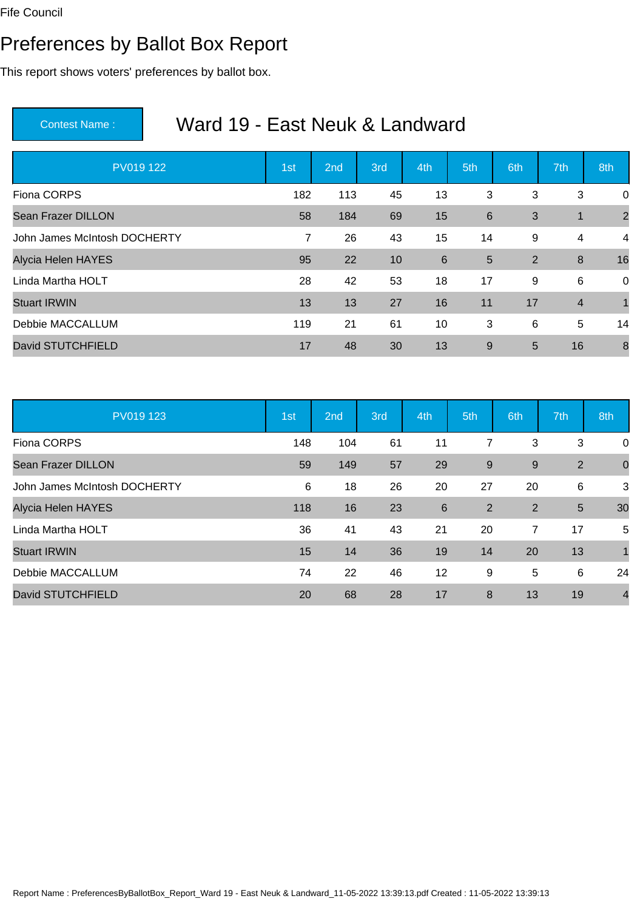### Preferences by Ballot Box Report

This report shows voters' preferences by ballot box.

| PV019 122                    | 1st | 2 <sub>nd</sub> | 3rd | 4th | 5th            | 6th | 7th            | 8th            |
|------------------------------|-----|-----------------|-----|-----|----------------|-----|----------------|----------------|
| Fiona CORPS                  | 182 | 113             | 45  | 13  | 3              | 3   | 3              | 0              |
| Sean Frazer DILLON           | 58  | 184             | 69  | 15  | 6              | 3   | 1              | $\overline{2}$ |
| John James McIntosh DOCHERTY | 7   | 26              | 43  | 15  | 14             | 9   | 4              | 4              |
| Alycia Helen HAYES           | 95  | 22              | 10  | 6   | $5\phantom{1}$ | 2   | 8              | 16             |
| Linda Martha HOLT            | 28  | 42              | 53  | 18  | 17             | 9   | 6              | 0              |
| <b>Stuart IRWIN</b>          | 13  | 13              | 27  | 16  | 11             | 17  | $\overline{4}$ | $\mathbf 1$    |
| Debbie MACCALLUM             | 119 | 21              | 61  | 10  | 3              | 6   | 5              | 14             |
| David STUTCHFIELD            | 17  | 48              | 30  | 13  | 9              | 5   | 16             | 8              |

| PV019 123                    | 1st | 2nd | 3rd | 4th   | 5th            | 6th | 7th | 8th         |
|------------------------------|-----|-----|-----|-------|----------------|-----|-----|-------------|
| Fiona CORPS                  | 148 | 104 | 61  | 11    | 7              | 3   | 3   | 0           |
| Sean Frazer DILLON           | 59  | 149 | 57  | 29    | 9              | 9   | 2   | $\mathbf 0$ |
| John James McIntosh DOCHERTY | 6   | 18  | 26  | 20    | 27             | 20  | 6   | 3           |
| Alycia Helen HAYES           | 118 | 16  | 23  | $\,6$ | $\overline{2}$ | 2   | 5   | 30          |
| Linda Martha HOLT            | 36  | 41  | 43  | 21    | 20             | 7   | 17  | 5           |
| <b>Stuart IRWIN</b>          | 15  | 14  | 36  | 19    | 14             | 20  | 13  | $\mathbf 1$ |
| Debbie MACCALLUM             | 74  | 22  | 46  | 12    | 9              | 5   | 6   | 24          |
| David STUTCHFIELD            | 20  | 68  | 28  | 17    | 8              | 13  | 19  | 4           |